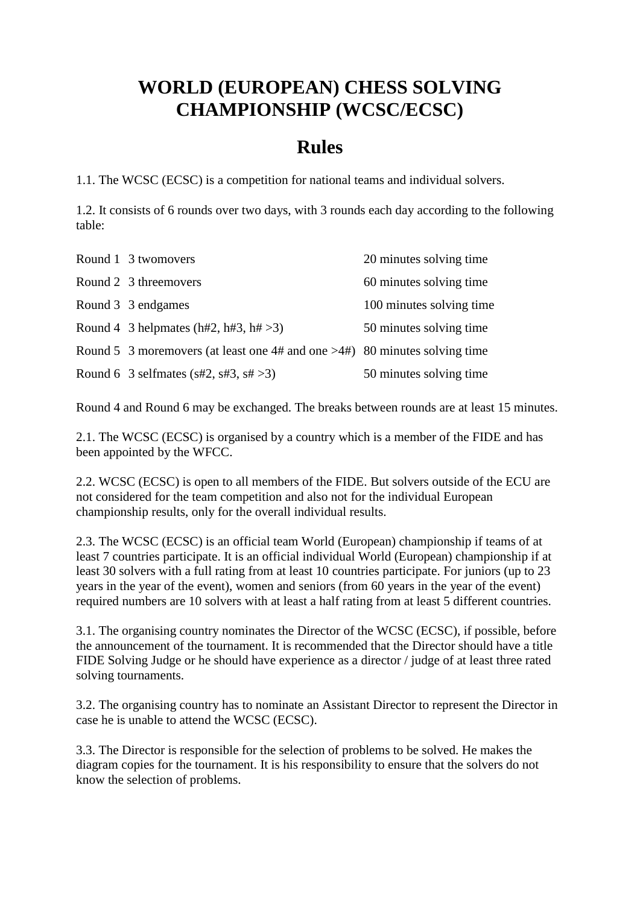## **WORLD (EUROPEAN) CHESS SOLVING CHAMPIONSHIP (WCSC/ECSC)**

## **Rules**

1.1. The WCSC (ECSC) is a competition for national teams and individual solvers.

1.2. It consists of 6 rounds over two days, with 3 rounds each day according to the following table:

| Round 1 3 twomovers                                                           | 20 minutes solving time  |
|-------------------------------------------------------------------------------|--------------------------|
| Round 2 3 threemovers                                                         | 60 minutes solving time  |
| Round 3 3 endgames                                                            | 100 minutes solving time |
| Round 4 3 helpmates (h#2, h#3, h# $>3$ )                                      | 50 minutes solving time  |
| Round 5 3 moremovers (at least one 4# and one $>4$ #) 80 minutes solving time |                          |
| Round 6 3 selfmates (s#2, s#3, s# $>3$ )                                      | 50 minutes solving time  |

Round 4 and Round 6 may be exchanged. The breaks between rounds are at least 15 minutes.

2.1. The WCSC (ECSC) is organised by a country which is a member of the FIDE and has been appointed by the WFCC.

2.2. WCSC (ECSC) is open to all members of the FIDE. But solvers outside of the ECU are not considered for the team competition and also not for the individual European championship results, only for the overall individual results.

2.3. The WCSC (ECSC) is an official team World (European) championship if teams of at least 7 countries participate. It is an official individual World (European) championship if at least 30 solvers with a full rating from at least 10 countries participate. For juniors (up to 23 years in the year of the event), women and seniors (from 60 years in the year of the event) required numbers are 10 solvers with at least a half rating from at least 5 different countries.

3.1. The organising country nominates the Director of the WCSC (ECSC), if possible, before the announcement of the tournament. It is recommended that the Director should have a title FIDE Solving Judge or he should have experience as a director / judge of at least three rated solving tournaments.

3.2. The organising country has to nominate an Assistant Director to represent the Director in case he is unable to attend the WCSC (ECSC).

3.3. The Director is responsible for the selection of problems to be solved. He makes the diagram copies for the tournament. It is his responsibility to ensure that the solvers do not know the selection of problems.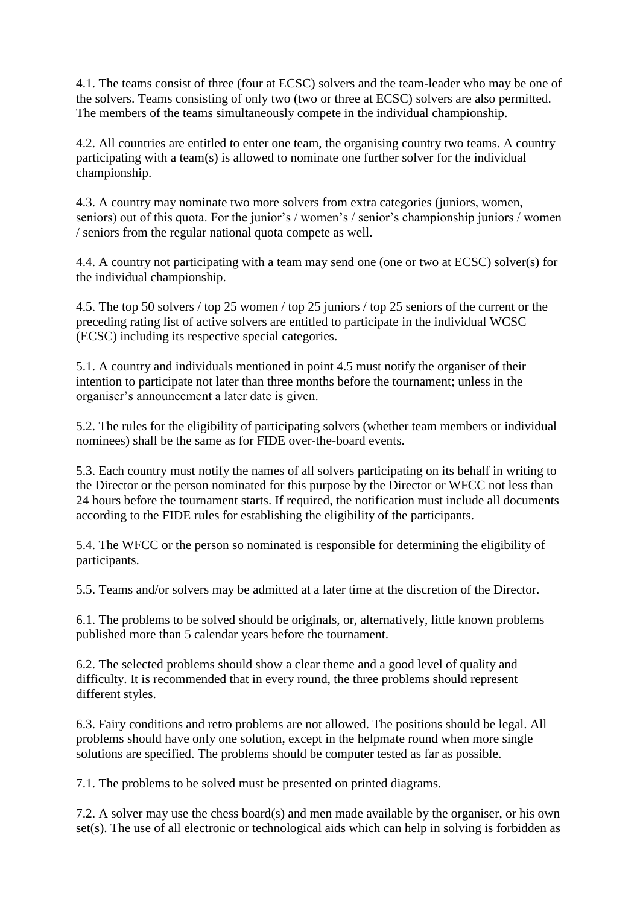4.1. The teams consist of three (four at ECSC) solvers and the team-leader who may be one of the solvers. Teams consisting of only two (two or three at ECSC) solvers are also permitted. The members of the teams simultaneously compete in the individual championship.

4.2. All countries are entitled to enter one team, the organising country two teams. A country participating with a team(s) is allowed to nominate one further solver for the individual championship.

4.3. A country may nominate two more solvers from extra categories (juniors, women, seniors) out of this quota. For the junior's / women's / senior's championship juniors / women / seniors from the regular national quota compete as well.

4.4. A country not participating with a team may send one (one or two at ECSC) solver(s) for the individual championship.

4.5. The top 50 solvers / top 25 women / top 25 juniors / top 25 seniors of the current or the preceding rating list of active solvers are entitled to participate in the individual WCSC (ECSC) including its respective special categories.

5.1. A country and individuals mentioned in point 4.5 must notify the organiser of their intention to participate not later than three months before the tournament; unless in the organiser's announcement a later date is given.

5.2. The rules for the eligibility of participating solvers (whether team members or individual nominees) shall be the same as for FIDE over-the-board events.

5.3. Each country must notify the names of all solvers participating on its behalf in writing to the Director or the person nominated for this purpose by the Director or WFCC not less than 24 hours before the tournament starts. If required, the notification must include all documents according to the FIDE rules for establishing the eligibility of the participants.

5.4. The WFCC or the person so nominated is responsible for determining the eligibility of participants.

5.5. Teams and/or solvers may be admitted at a later time at the discretion of the Director.

6.1. The problems to be solved should be originals, or, alternatively, little known problems published more than 5 calendar years before the tournament.

6.2. The selected problems should show a clear theme and a good level of quality and difficulty. It is recommended that in every round, the three problems should represent different styles.

6.3. Fairy conditions and retro problems are not allowed. The positions should be legal. All problems should have only one solution, except in the helpmate round when more single solutions are specified. The problems should be computer tested as far as possible.

7.1. The problems to be solved must be presented on printed diagrams.

7.2. A solver may use the chess board(s) and men made available by the organiser, or his own set(s). The use of all electronic or technological aids which can help in solving is forbidden as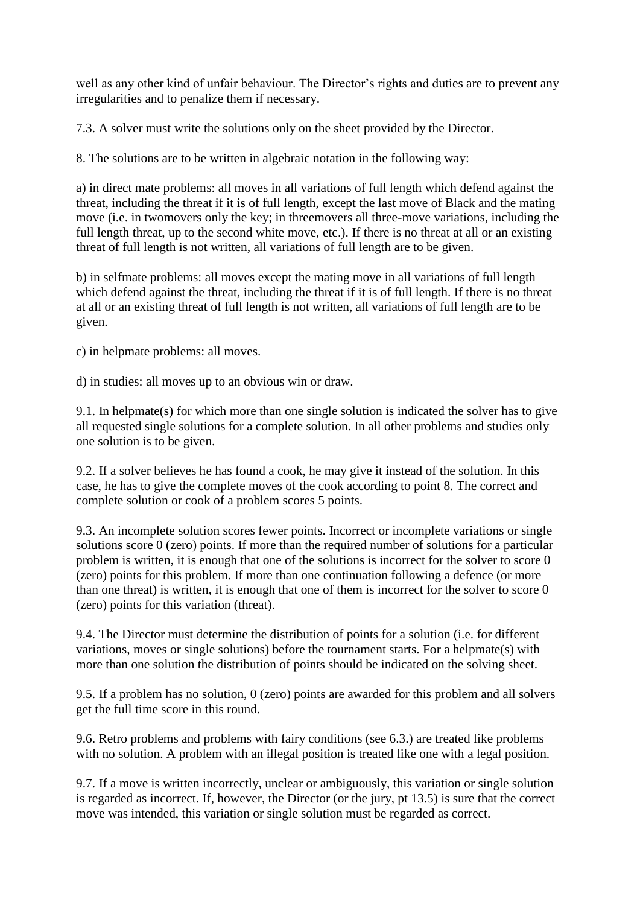well as any other kind of unfair behaviour. The Director's rights and duties are to prevent any irregularities and to penalize them if necessary.

7.3. A solver must write the solutions only on the sheet provided by the Director.

8. The solutions are to be written in algebraic notation in the following way:

a) in direct mate problems: all moves in all variations of full length which defend against the threat, including the threat if it is of full length, except the last move of Black and the mating move (i.e. in twomovers only the key; in threemovers all three-move variations, including the full length threat, up to the second white move, etc.). If there is no threat at all or an existing threat of full length is not written, all variations of full length are to be given.

b) in selfmate problems: all moves except the mating move in all variations of full length which defend against the threat, including the threat if it is of full length. If there is no threat at all or an existing threat of full length is not written, all variations of full length are to be given.

c) in helpmate problems: all moves.

d) in studies: all moves up to an obvious win or draw.

9.1. In helpmate(s) for which more than one single solution is indicated the solver has to give all requested single solutions for a complete solution. In all other problems and studies only one solution is to be given.

9.2. If a solver believes he has found a cook, he may give it instead of the solution. In this case, he has to give the complete moves of the cook according to point 8. The correct and complete solution or cook of a problem scores 5 points.

9.3. An incomplete solution scores fewer points. Incorrect or incomplete variations or single solutions score 0 (zero) points. If more than the required number of solutions for a particular problem is written, it is enough that one of the solutions is incorrect for the solver to score 0 (zero) points for this problem. If more than one continuation following a defence (or more than one threat) is written, it is enough that one of them is incorrect for the solver to score 0 (zero) points for this variation (threat).

9.4. The Director must determine the distribution of points for a solution (i.e. for different variations, moves or single solutions) before the tournament starts. For a helpmate(s) with more than one solution the distribution of points should be indicated on the solving sheet.

9.5. If a problem has no solution, 0 (zero) points are awarded for this problem and all solvers get the full time score in this round.

9.6. Retro problems and problems with fairy conditions (see 6.3.) are treated like problems with no solution. A problem with an illegal position is treated like one with a legal position.

9.7. If a move is written incorrectly, unclear or ambiguously, this variation or single solution is regarded as incorrect. If, however, the Director (or the jury, pt 13.5) is sure that the correct move was intended, this variation or single solution must be regarded as correct.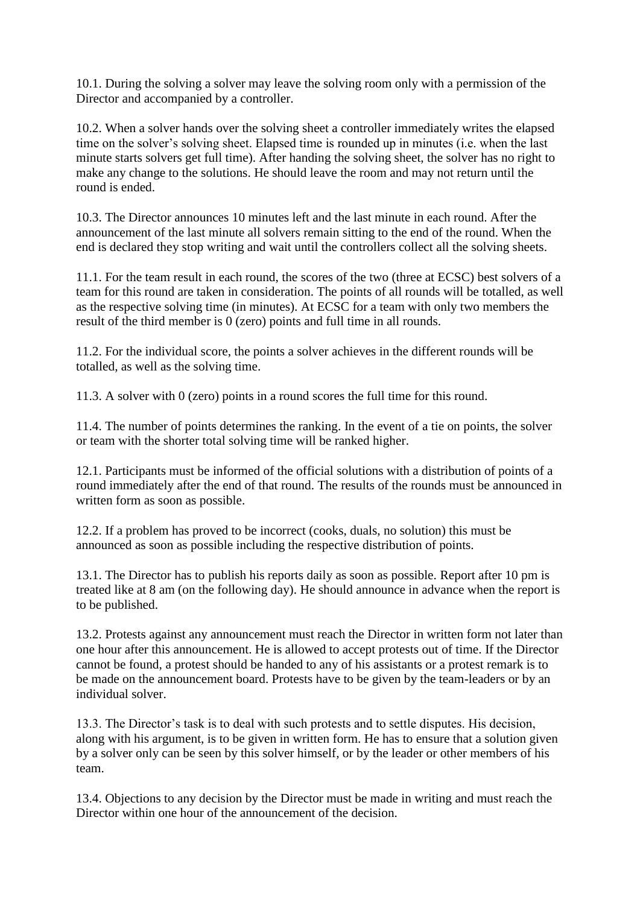10.1. During the solving a solver may leave the solving room only with a permission of the Director and accompanied by a controller.

10.2. When a solver hands over the solving sheet a controller immediately writes the elapsed time on the solver's solving sheet. Elapsed time is rounded up in minutes (i.e. when the last minute starts solvers get full time). After handing the solving sheet, the solver has no right to make any change to the solutions. He should leave the room and may not return until the round is ended.

10.3. The Director announces 10 minutes left and the last minute in each round. After the announcement of the last minute all solvers remain sitting to the end of the round. When the end is declared they stop writing and wait until the controllers collect all the solving sheets.

11.1. For the team result in each round, the scores of the two (three at ECSC) best solvers of a team for this round are taken in consideration. The points of all rounds will be totalled, as well as the respective solving time (in minutes). At ECSC for a team with only two members the result of the third member is 0 (zero) points and full time in all rounds.

11.2. For the individual score, the points a solver achieves in the different rounds will be totalled, as well as the solving time.

11.3. A solver with 0 (zero) points in a round scores the full time for this round.

11.4. The number of points determines the ranking. In the event of a tie on points, the solver or team with the shorter total solving time will be ranked higher.

12.1. Participants must be informed of the official solutions with a distribution of points of a round immediately after the end of that round. The results of the rounds must be announced in written form as soon as possible.

12.2. If a problem has proved to be incorrect (cooks, duals, no solution) this must be announced as soon as possible including the respective distribution of points.

13.1. The Director has to publish his reports daily as soon as possible. Report after 10 pm is treated like at 8 am (on the following day). He should announce in advance when the report is to be published.

13.2. Protests against any announcement must reach the Director in written form not later than one hour after this announcement. He is allowed to accept protests out of time. If the Director cannot be found, a protest should be handed to any of his assistants or a protest remark is to be made on the announcement board. Protests have to be given by the team-leaders or by an individual solver.

13.3. The Director's task is to deal with such protests and to settle disputes. His decision, along with his argument, is to be given in written form. He has to ensure that a solution given by a solver only can be seen by this solver himself, or by the leader or other members of his team.

13.4. Objections to any decision by the Director must be made in writing and must reach the Director within one hour of the announcement of the decision.